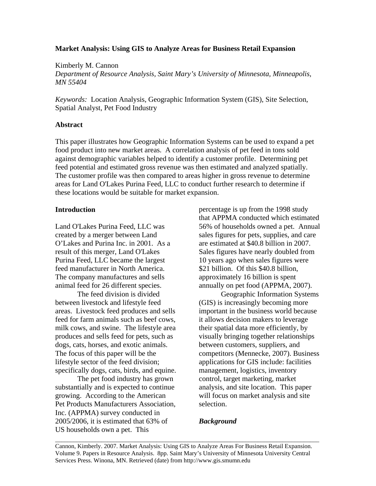## **Market Analysis: Using GIS to Analyze Areas for Business Retail Expansion**

Kimberly M. Cannon

*Department of Resource Analysis, Saint Mary's University of Minnesota, Minneapolis, MN 55404* 

*Keywords:* Location Analysis, Geographic Information System (GIS), Site Selection, Spatial Analyst, Pet Food Industry

# **Abstract**

This paper illustrates how Geographic Information Systems can be used to expand a pet food product into new market areas. A correlation analysis of pet feed in tons sold against demographic variables helped to identify a customer profile. Determining pet feed potential and estimated gross revenue was then estimated and analyzed spatially. The customer profile was then compared to areas higher in gross revenue to determine areas for Land O'Lakes Purina Feed, LLC to conduct further research to determine if these locations would be suitable for market expansion.

# **Introduction**

Land O'Lakes Purina Feed, LLC was created by a merger between Land O'Lakes and Purina Inc. in 2001. As a result of this merger, Land O'Lakes Purina Feed, LLC became the largest feed manufacturer in North America. The company manufactures and sells animal feed for 26 different species.

The feed division is divided between livestock and lifestyle feed areas. Livestock feed produces and sells feed for farm animals such as beef cows, milk cows, and swine. The lifestyle area produces and sells feed for pets, such as dogs, cats, horses, and exotic animals. The focus of this paper will be the lifestyle sector of the feed division; specifically dogs, cats, birds, and equine.

 The pet food industry has grown substantially and is expected to continue growing. According to the American Pet Products Manufacturers Association, Inc. (APPMA) survey conducted in 2005/2006, it is estimated that 63% of US households own a pet. This

percentage is up from the 1998 study that APPMA conducted which estimated 56% of households owned a pet. Annual sales figures for pets, supplies, and care are estimated at \$40.8 billion in 2007. Sales figures have nearly doubled from 10 years ago when sales figures were \$21 billion. Of this \$40.8 billion, approximately 16 billion is spent annually on pet food (APPMA, 2007).

 Geographic Information Systems (GIS) is increasingly becoming more important in the business world because it allows decision makers to leverage their spatial data more efficiently, by visually bringing together relationships between customers, suppliers, and competitors (Mennecke, 2007). Business applications for GIS include: facilities management, logistics, inventory control, target marketing, market analysis, and site location. This paper will focus on market analysis and site selection.

# *Background*

Cannon, Kimberly. 2007. Market Analysis: Using GIS to Analyze Areas For Business Retail Expansion. Volume 9. Papers in Resource Analysis. 8pp. Saint Mary's University of Minnesota University Central Services Press. Winona, MN. Retrieved (date) from http://www.gis.smumn.edu

\_\_\_\_\_\_\_\_\_\_\_\_\_\_\_\_\_\_\_\_\_\_\_\_\_\_\_\_\_\_\_\_\_\_\_\_\_\_\_\_\_\_\_\_\_\_\_\_\_\_\_\_\_\_\_\_\_\_\_\_\_\_\_\_\_\_\_\_\_\_\_\_\_\_\_\_\_\_\_\_\_\_\_\_\_\_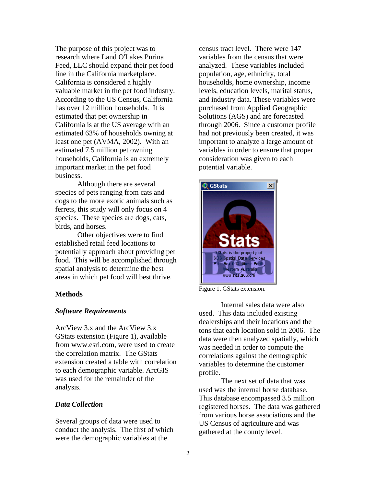The purpose of this project was to research where Land O'Lakes Purina Feed, LLC should expand their pet food line in the California marketplace. California is considered a highly valuable market in the pet food industry. According to the US Census, California has over 12 million households. It is estimated that pet ownership in California is at the US average with an estimated 63% of households owning at least one pet (AVMA, 2002). With an estimated 7.5 million pet owning households, California is an extremely important market in the pet food business.

 Although there are several species of pets ranging from cats and dogs to the more exotic animals such as ferrets, this study will only focus on 4 species. These species are dogs, cats, birds, and horses.

 Other objectives were to find established retail feed locations to potentially approach about providing pet food. This will be accomplished through spatial analysis to determine the best areas in which pet food will best thrive.

## **Methods**

## *Software Requirements*

ArcView 3.x and the ArcView 3.x GStats extension (Figure 1), available from www.esri.com, were used to create the correlation matrix. The GStats extension created a table with correlation to each demographic variable. ArcGIS was used for the remainder of the analysis.

## *Data Collection*

Several groups of data were used to conduct the analysis. The first of which were the demographic variables at the

census tract level. There were 147 variables from the census that were analyzed. These variables included population, age, ethnicity, total households, home ownership, income levels, education levels, marital status, and industry data. These variables were purchased from Applied Geographic Solutions (AGS) and are forecasted through 2006. Since a customer profile had not previously been created, it was important to analyze a large amount of variables in order to ensure that proper consideration was given to each potential variable.



Figure 1. GStats extension.

 Internal sales data were also used. This data included existing dealerships and their locations and the tons that each location sold in 2006. The data were then analyzed spatially, which was needed in order to compute the correlations against the demographic variables to determine the customer profile.

 The next set of data that was used was the internal horse database. This database encompassed 3.5 million registered horses. The data was gathered from various horse associations and the US Census of agriculture and was gathered at the county level.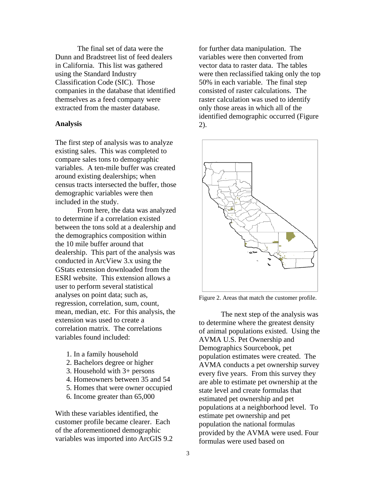The final set of data were the Dunn and Bradstreet list of feed dealers in California. This list was gathered using the Standard Industry Classification Code (SIC). Those companies in the database that identified themselves as a feed company were extracted from the master database.

#### **Analysis**

The first step of analysis was to analyze existing sales. This was completed to compare sales tons to demographic variables. A ten-mile buffer was created around existing dealerships; when census tracts intersected the buffer, those demographic variables were then included in the study.

From here, the data was analyzed to determine if a correlation existed between the tons sold at a dealership and the demographics composition within the 10 mile buffer around that dealership. This part of the analysis was conducted in ArcView 3.x using the GStats extension downloaded from the ESRI website. This extension allows a user to perform several statistical analyses on point data; such as, regression, correlation, sum, count, mean, median, etc. For this analysis, the extension was used to create a correlation matrix. The correlations variables found included:

- 1. In a family household
- 2. Bachelors degree or higher
- 3. Household with 3+ persons
- 4. Homeowners between 35 and 54
- 5. Homes that were owner occupied
- 6. Income greater than 65,000

With these variables identified, the customer profile became clearer. Each of the aforementioned demographic variables was imported into ArcGIS 9.2 for further data manipulation. The variables were then converted from vector data to raster data. The tables were then reclassified taking only the top 50% in each variable. The final step consisted of raster calculations. The raster calculation was used to identify only those areas in which all of the identified demographic occurred (Figure 2).



Figure 2. Areas that match the customer profile.

The next step of the analysis was to determine where the greatest density of animal populations existed. Using the AVMA U.S. Pet Ownership and Demographics Sourcebook, pet population estimates were created. The AVMA conducts a pet ownership survey every five years. From this survey they are able to estimate pet ownership at the state level and create formulas that estimated pet ownership and pet populations at a neighborhood level. To estimate pet ownership and pet population the national formulas provided by the AVMA were used. Four formulas were used based on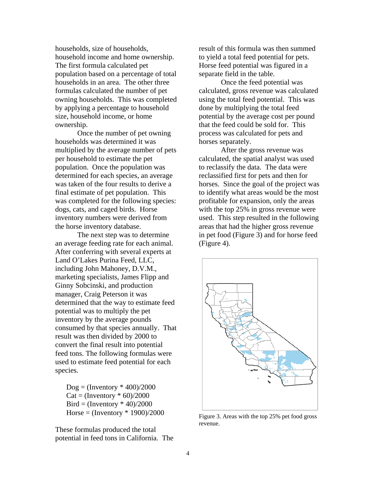households, size of households, household income and home ownership. The first formula calculated pet population based on a percentage of total households in an area. The other three formulas calculated the number of pet owning households. This was completed by applying a percentage to household size, household income, or home ownership.

Once the number of pet owning households was determined it was multiplied by the average number of pets per household to estimate the pet population. Once the population was determined for each species, an average was taken of the four results to derive a final estimate of pet population. This was completed for the following species: dogs, cats, and caged birds. Horse inventory numbers were derived from the horse inventory database.

 The next step was to determine an average feeding rate for each animal. After conferring with several experts at Land O'Lakes Purina Feed, LLC, including John Mahoney, D.V.M., marketing specialists, James Flipp and Ginny Sobcinski, and production manager, Craig Peterson it was determined that the way to estimate feed potential was to multiply the pet inventory by the average pounds consumed by that species annually. That result was then divided by 2000 to convert the final result into potential feed tons. The following formulas were used to estimate feed potential for each species.

 $Dog = (Inventory * 400)/2000$  $Cat = (Inventory * 60)/2000$ Bird = (Inventory  $*$  40)/2000 Horse =  $($ Inventory  $*$  1900 $)/2000$ 

These formulas produced the total potential in feed tons in California. The result of this formula was then summed to yield a total feed potential for pets. Horse feed potential was figured in a separate field in the table.

Once the feed potential was calculated, gross revenue was calculated using the total feed potential. This was done by multiplying the total feed potential by the average cost per pound that the feed could be sold for. This process was calculated for pets and horses separately.

After the gross revenue was calculated, the spatial analyst was used to reclassify the data. The data were reclassified first for pets and then for horses. Since the goal of the project was to identify what areas would be the most profitable for expansion, only the areas with the top 25% in gross revenue were used. This step resulted in the following areas that had the higher gross revenue in pet food (Figure 3) and for horse feed (Figure 4).



Figure 3. Areas with the top 25% pet food gross revenue.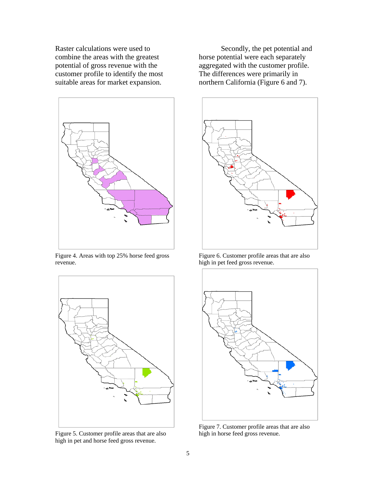Raster calculations were used to combine the areas with the greatest potential of gross revenue with the customer profile to identify the most suitable areas for market expansion.



Figure 4. Areas with top 25% horse feed gross revenue.



Figure 5. Customer profile areas that are also high in pet and horse feed gross revenue.

Secondly, the pet potential and horse potential were each separately aggregated with the customer profile. The differences were primarily in northern California (Figure 6 and 7).



Figure 6. Customer profile areas that are also high in pet feed gross revenue.



Figure 7. Customer profile areas that are also high in horse feed gross revenue.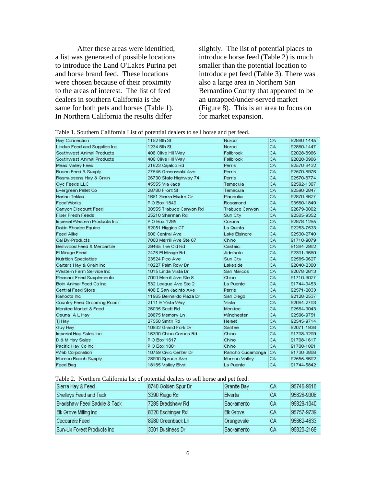After these areas were identified, a list was generated of possible locations to introduce the Land O'Lakes Purina pet and horse brand feed. These locations were chosen because of their proximity to the areas of interest. The list of feed dealers in southern California is the same for both pets and horses (Table 1). In Northern California the results differ

slightly. The list of potential places to introduce horse feed (Table 2) is much smaller than the potential location to introduce pet feed (Table 3). There was also a large area in Northern San Bernardino County that appeared to be an untapped/under-served market (Figure 8). This is an area to focus on for market expansion.

|  |  | Table 1. Southern California List of potential dealers to sell horse and pet feed. |  |  |  |  |  |  |  |
|--|--|------------------------------------------------------------------------------------|--|--|--|--|--|--|--|
|--|--|------------------------------------------------------------------------------------|--|--|--|--|--|--|--|

| <b>Hay Connection</b>          | 1152 6th St              | Norco             | CA  | 92860-1445 |
|--------------------------------|--------------------------|-------------------|-----|------------|
| Lindas Feed and Supplies Inc.  | 1234 6th St              | Norco             | CA. | 92860-1447 |
| Southwest Animal Products      | 408 Olive Hill Way       | Fallbrook         | CA. | 92028-8986 |
| Southwest Animal Products      | 408 Olive Hill Way       | Fallbrook         | CA. | 92028-8986 |
| Mead Valley Feed               | 21623 Cajalco Rd         | Perris            | CA. | 92570-8432 |
| Roseo Feed & Supply            | 27545 Greenwald Ave      | Perris            | CA. | 92570-8976 |
| Rasmussens Hay & Grain         | 26730 State Highway 74   | Perris            | CA. | 92570-8774 |
| Ove Feeds LLC                  | 45555 Via Jaca           | Temecula          | CA. | 92592-1307 |
| Evergreen Pellet Co            | 28780 Front St           | Temecula          | CA. | 92590-2847 |
| Harlan Teklad                  | 1681 Sierra Madre Cir    | Placentia         | CA. | 92870-6627 |
| <b>Feed Works</b>              | P O Box 1849             | Rosamond          | CA. | 93560-1849 |
| Canyon Discount Feed           | 30555 Trabuco Canyon Rd  | Trabuco Canyon    | CA. | 92679-3002 |
| <b>Fiber Fresh Feeds</b>       | 25210 Sherman Rd         | Sun City          | CA. | 92585-9352 |
| Imperial Western Products Inc. | P O Box 1295             | Corona            | CA. | 92878-1295 |
| Dakin Rhodes Equine            | 82051 Higgins CT         | La Quinta         | CA. | 92253-7533 |
| <b>Feed Alike</b>              | 600 Central Ave          | Lake Elsinore     | CA. | 92530-2740 |
| Cal By-Products                | 7000 Merrill Ave Ste 67  | Chino             | CA. | 91710-9079 |
| Benwood Feed & Mercantile      | 29465 The Old Rd         | Castaic           | CA. | 91384-2902 |
| El Mirage Feed                 | 2476 El Mirage Rd        | Adelanto          | CA. | 92301-9680 |
| <b>Nutrition Specialties</b>   | 23524 Pico Ave           | Sun City          | CA. | 92585-9627 |
| Carters Hay & Grain Inc.       | 10227 Palm Row Dr.       | Lakeside          | CA. | 92040-2308 |
| Western Farm Service Inc.      | 1015 Linda Vista Dr.     | San Marcos        | CA  | 92078-2613 |
| Pleasant Feed Supplements      | 7000 Merrill Ave Ste 8   | Chino             | CA  | 91710-9027 |
| Boin Animal Feed Co Inc.       | 532 League Ave Ste 2     | La Puente         | CA. | 91744-3453 |
| Central Feed Store             | 400 E San Jacinto Ave    | Perris            | CA  | 92571-2833 |
| Kahoots Inc.                   | 11965 Bernardo Plaza Dr. | San Diego         | CA  | 92128-2537 |
| Country Feed Grooming Room     | 2111 E Vista Way         | Vista             | CA. | 92084-2703 |
| Menifee Market & Feed          | 26035 Scott Rd           | Menifee           | CA  | 92584-9043 |
| Osuna A L Hay                  | 28875 Memory Ln          | <b>Winchester</b> | CA  | 92596-9751 |
| Tj Hay                         | 27550 Smith Rd           | Hernet            | CA. | 92545-9714 |
| Guy Hay                        | 10932 Grand Fork Dr      | Santee            | CA. | 92071-1936 |
| Imperial Hay Sales Inc.        | 16300 Chino Corona Rd    | Chino             | CA. | 91708-9209 |
| D & M Hay Sales                | P O Box 1617             | Chino             | CA. | 91708-1617 |
| Pacific Hay Co Inc.            | P O Box 1001             | Chino             | CA. | 91708-1001 |
| Winb Corporation               | 10759 Civic Center Dr.   | Rancho Cucamonga  | CA. | 91730-3806 |
| Moreno Ranch Supply            | 28900 Spruce Ave         | Moreno Valley     | CA. | 92555-6602 |
| Feed Bag                       | 18185 Valley Blvd        | La Puente         | CA. | 91744-5842 |

#### Table 2. Northern California list of potential dealers to sell horse and pet feed.

| Sierra Hay & Feed           | 8740 Golden Spur Dr | Granite Bay      | CА  | 95746-9618 |
|-----------------------------|---------------------|------------------|-----|------------|
| Shelleys Feed and Tack      | 3390 Riego Rd       | Elverta          | CА  | 95626-9308 |
| Bradshaw Feed Saddle & Tack | 7285 Bradshaw Rd    | Sacramento       | CA. | 95829-1040 |
| Elk Grove Milling Inc.      | 8320 Eschinger Rd   | <b>Elk Grove</b> | CА  | 95757-9739 |
| Ceccardis Feed              | 8980 Greenback Ln   | Orangevale       | CА  | 95662-4633 |
| Sun-Up Forest Products Inc. | 3301 Business Dr.   | Sacramento       | CА  | 95820-2169 |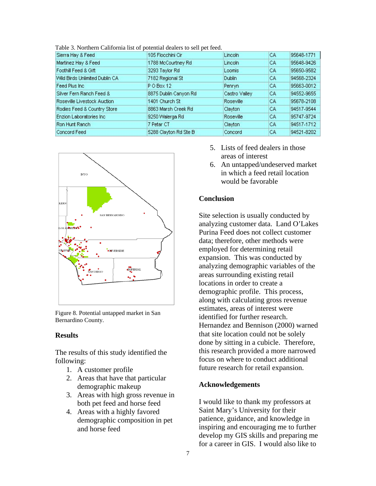| Sierra Hay & Feed              | 105 Flocchini Cir     | Lincoln          | CA. | 95648-1771 |
|--------------------------------|-----------------------|------------------|-----|------------|
| Martinez Hay & Feed            | 1788 McCourtney Rd.   | Lincoln          | CА  | 95648-9426 |
| Foothill Feed & Gift           | 3293 Taylor Rd        | Loomis           | CА  | 95650-9582 |
| Wild Birds Unlimited Dublin CA | 7182 Regional St      | Dublin           | CA  | 94568-2324 |
| Feed Plus Inc.                 | PO Box 12             | Penryn           | CA. | 95663-0012 |
| Silver Fern Ranch Feed &       | 8875 Dublin Canyon Rd | Castro Valley    | CА  | 94552-9655 |
| Roseville Livestock Auction    | 1401 Church St        | <b>Roseville</b> | CA. | 95678-2108 |
| Rodies Feed & Country Store    | 8863 Marsh Creek Rd   | Clayton          | CА  | 94517-9544 |
| Enzion Laboratories Inc.       | 9250 Walerga Rd       | <b>Roseville</b> | CА  | 95747-9724 |
| Ron Hunt Ranch                 | 7 Petar CT            | Clayton          | CA. | 94517-1712 |
| Concord Feed                   | 5288 Clayton Rd Ste B | Concord          | CА  | 94521-8202 |

Table 3. Northern California list of potential dealers to sell pet feed.



Figure 8. Potential untapped market in San Bernardino County.

## **Results**

The results of this study identified the following:

- 1. A customer profile
- 2. Areas that have that particular demographic makeup
- 3. Areas with high gross revenue in both pet feed and horse feed
- 4. Areas with a highly favored demographic composition in pet and horse feed
- 5. Lists of feed dealers in those areas of interest
- 6. An untapped/undeserved market in which a feed retail location would be favorable

## **Conclusion**

Site selection is usually conducted by analyzing customer data. Land O'Lakes Purina Feed does not collect customer data; therefore, other methods were employed for determining retail expansion. This was conducted by analyzing demographic variables of the areas surrounding existing retail locations in order to create a demographic profile. This process, along with calculating gross revenue estimates, areas of interest were identified for further research. Hernandez and Bennison (2000) warned that site location could not be solely done by sitting in a cubicle. Therefore, this research provided a more narrowed focus on where to conduct additional future research for retail expansion.

## **Acknowledgements**

I would like to thank my professors at Saint Mary's University for their patience, guidance, and knowledge in inspiring and encouraging me to further develop my GIS skills and preparing me for a career in GIS. I would also like to